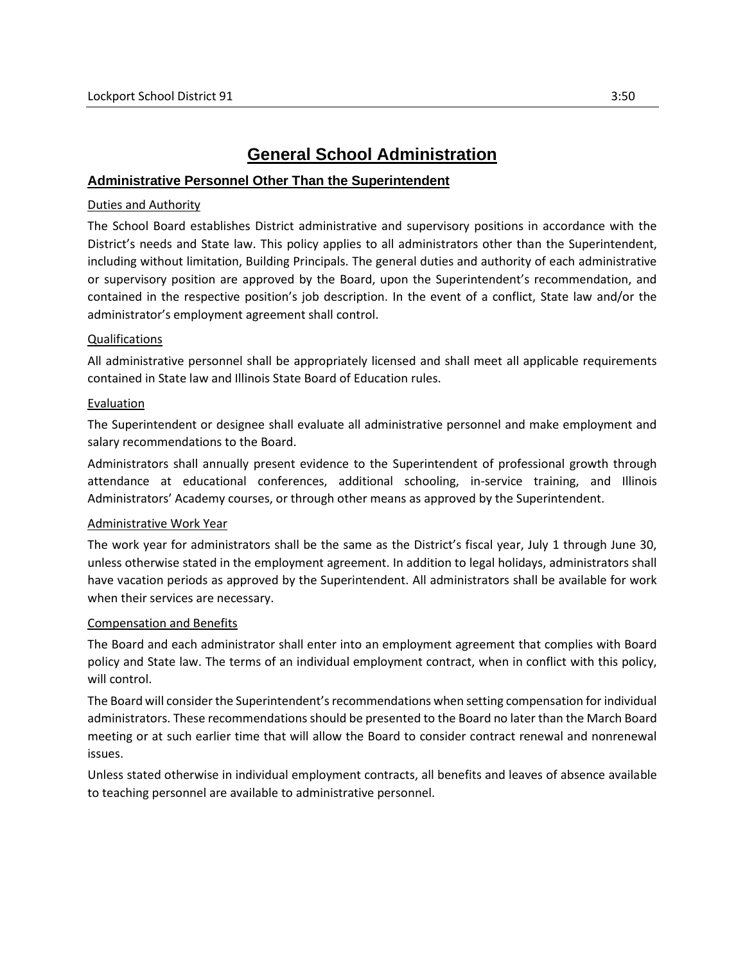# **General School Administration**

# **Administrative Personnel Other Than the Superintendent**

## Duties and Authority

The School Board establishes District administrative and supervisory positions in accordance with the District's needs and State law. This policy applies to all administrators other than the Superintendent, including without limitation, Building Principals. The general duties and authority of each administrative or supervisory position are approved by the Board, upon the Superintendent's recommendation, and contained in the respective position's job description. In the event of a conflict, State law and/or the administrator's employment agreement shall control.

### Qualifications

All administrative personnel shall be appropriately licensed and shall meet all applicable requirements contained in State law and Illinois State Board of Education rules.

### Evaluation

The Superintendent or designee shall evaluate all administrative personnel and make employment and salary recommendations to the Board.

Administrators shall annually present evidence to the Superintendent of professional growth through attendance at educational conferences, additional schooling, in-service training, and Illinois Administrators' Academy courses, or through other means as approved by the Superintendent.

#### Administrative Work Year

The work year for administrators shall be the same as the District's fiscal year, July 1 through June 30, unless otherwise stated in the employment agreement. In addition to legal holidays, administrators shall have vacation periods as approved by the Superintendent. All administrators shall be available for work when their services are necessary.

#### Compensation and Benefits

The Board and each administrator shall enter into an employment agreement that complies with Board policy and State law. The terms of an individual employment contract, when in conflict with this policy, will control.

The Board will consider the Superintendent's recommendations when setting compensation for individual administrators. These recommendations should be presented to the Board no later than the March Board meeting or at such earlier time that will allow the Board to consider contract renewal and nonrenewal issues.

Unless stated otherwise in individual employment contracts, all benefits and leaves of absence available to teaching personnel are available to administrative personnel.